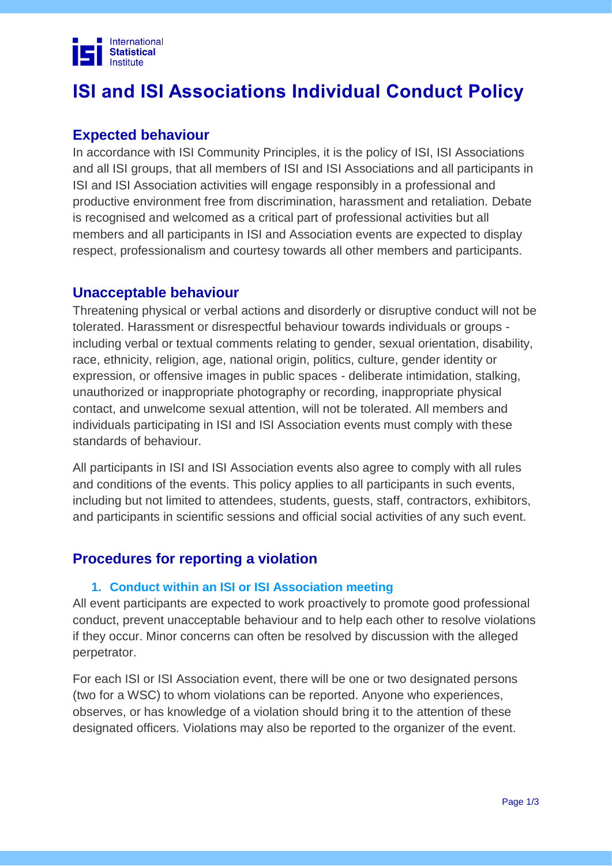

# **ISI and ISI Associations Individual Conduct Policy**

# **Expected behaviour**

In accordance with ISI Community Principles, it is the policy of ISI, ISI Associations and all ISI groups, that all members of ISI and ISI Associations and all participants in ISI and ISI Association activities will engage responsibly in a professional and productive environment free from discrimination, harassment and retaliation. Debate is recognised and welcomed as a critical part of professional activities but all members and all participants in ISI and Association events are expected to display respect, professionalism and courtesy towards all other members and participants.

## **Unacceptable behaviour**

Threatening physical or verbal actions and disorderly or disruptive conduct will not be tolerated. Harassment or disrespectful behaviour towards individuals or groups including verbal or textual comments relating to gender, sexual orientation, disability, race, ethnicity, religion, age, national origin, politics, culture, gender identity or expression, or offensive images in public spaces - deliberate intimidation, stalking, unauthorized or inappropriate photography or recording, inappropriate physical contact, and unwelcome sexual attention, will not be tolerated. All members and individuals participating in ISI and ISI Association events must comply with these standards of behaviour.

All participants in ISI and ISI Association events also agree to comply with all rules and conditions of the events. This policy applies to all participants in such events, including but not limited to attendees, students, guests, staff, contractors, exhibitors, and participants in scientific sessions and official social activities of any such event.

# **Procedures for reporting a violation**

#### **1. Conduct within an ISI or ISI Association meeting**

All event participants are expected to work proactively to promote good professional conduct, prevent unacceptable behaviour and to help each other to resolve violations if they occur. Minor concerns can often be resolved by discussion with the alleged perpetrator.

For each ISI or ISI Association event, there will be one or two designated persons (two for a WSC) to whom violations can be reported. Anyone who experiences, observes, or has knowledge of a violation should bring it to the attention of these designated officers*.* Violations may also be reported to the organizer of the event.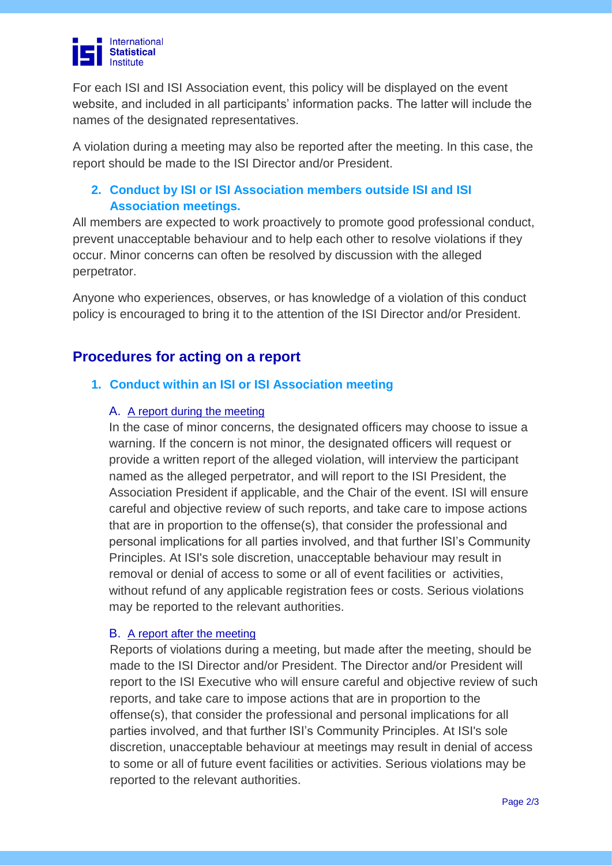

For each ISI and ISI Association event, this policy will be displayed on the event website, and included in all participants' information packs. The latter will include the names of the designated representatives.

A violation during a meeting may also be reported after the meeting. In this case, the report should be made to the ISI Director and/or President.

## **2. Conduct by ISI or ISI Association members outside ISI and ISI Association meetings.**

All members are expected to work proactively to promote good professional conduct, prevent unacceptable behaviour and to help each other to resolve violations if they occur. Minor concerns can often be resolved by discussion with the alleged perpetrator.

Anyone who experiences, observes, or has knowledge of a violation of this conduct policy is encouraged to bring it to the attention of the ISI Director and/or President.

# **Procedures for acting on a report**

## **1. Conduct within an ISI or ISI Association meeting**

#### A. A report during the meeting

In the case of minor concerns, the designated officers may choose to issue a warning. If the concern is not minor, the designated officers will request or provide a written report of the alleged violation, will interview the participant named as the alleged perpetrator, and will report to the ISI President, the Association President if applicable, and the Chair of the event. ISI will ensure careful and objective review of such reports, and take care to impose actions that are in proportion to the offense(s), that consider the professional and personal implications for all parties involved, and that further ISI's Community Principles. At ISI's sole discretion, unacceptable behaviour may result in removal or denial of access to some or all of event facilities or activities, without refund of any applicable registration fees or costs. Serious violations may be reported to the relevant authorities.

#### B. A report after the meeting

Reports of violations during a meeting, but made after the meeting, should be made to the ISI Director and/or President. The Director and/or President will report to the ISI Executive who will ensure careful and objective review of such reports, and take care to impose actions that are in proportion to the offense(s), that consider the professional and personal implications for all parties involved, and that further ISI's Community Principles. At ISI's sole discretion, unacceptable behaviour at meetings may result in denial of access to some or all of future event facilities or activities. Serious violations may be reported to the relevant authorities.